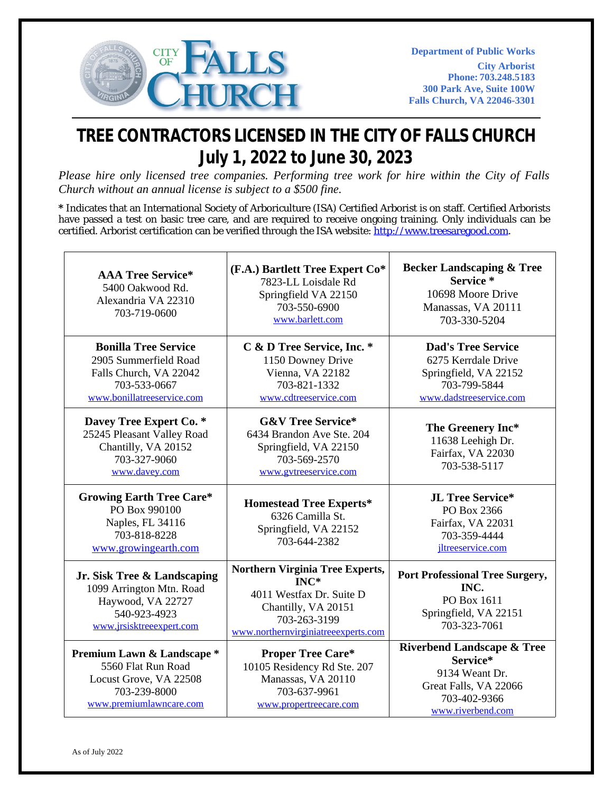

## **TREE CONTRACTORS LICENSED IN THE CITY OF FALLS CHURCH July 1, 2022 to June 30, 2023**

*Please hire only licensed tree companies. Performing tree work for hire within the City of Falls Church without an annual license is subject to a \$500 fine.*

**\*** Indicates that an International Society of Arboriculture (ISA) Certified Arborist is on staff. Certified Arborists have passed a test on basic tree care, and are required to receive ongoing training. Only individuals can be certified. Arborist certification can be verified through the ISA website: [http://www.treesaregood.com.](http://www.treesaregood.com/)

| <b>AAA Tree Service*</b><br>5400 Oakwood Rd.<br>Alexandria VA 22310<br>703-719-0600                                          | (F.A.) Bartlett Tree Expert Co*<br>7823-LL Loisdale Rd<br>Springfield VA 22150<br>703-550-6900<br>www.barlett.com                                           | <b>Becker Landscaping &amp; Tree</b><br>Service*<br>10698 Moore Drive<br>Manassas, VA 20111<br>703-330-5204                       |
|------------------------------------------------------------------------------------------------------------------------------|-------------------------------------------------------------------------------------------------------------------------------------------------------------|-----------------------------------------------------------------------------------------------------------------------------------|
| <b>Bonilla Tree Service</b><br>2905 Summerfield Road<br>Falls Church, VA 22042<br>703-533-0667<br>www.bonillatreeservice.com | C & D Tree Service, Inc. *<br>1150 Downey Drive<br>Vienna, VA 22182<br>703-821-1332<br>www.cdtreeservice.com                                                | <b>Dad's Tree Service</b><br>6275 Kerrdale Drive<br>Springfield, VA 22152<br>703-799-5844<br>www.dadstreeservice.com              |
| Davey Tree Expert Co. *<br>25245 Pleasant Valley Road<br>Chantilly, VA 20152<br>703-327-9060<br>www.davey.com                | <b>G&amp;V Tree Service*</b><br>6434 Brandon Ave Ste. 204<br>Springfield, VA 22150<br>703-569-2570<br>www.gytreeservice.com                                 | The Greenery Inc*<br>11638 Leehigh Dr.<br>Fairfax, VA 22030<br>703-538-5117                                                       |
| <b>Growing Earth Tree Care*</b><br>PO Box 990100<br>Naples, FL 34116<br>703-818-8228<br>www.growingearth.com                 | <b>Homestead Tree Experts*</b><br>6326 Camilla St.<br>Springfield, VA 22152<br>703-644-2382                                                                 | JL Tree Service*<br>PO Box 2366<br>Fairfax, VA 22031<br>703-359-4444<br>jltreeservice.com                                         |
| Jr. Sisk Tree & Landscaping<br>1099 Arrington Mtn. Road<br>Haywood, VA 22727<br>540-923-4923<br>www.jrsisktreeexpert.com     | <b>Northern Virginia Tree Experts,</b><br>$INC^*$<br>4011 Westfax Dr. Suite D<br>Chantilly, VA 20151<br>703-263-3199<br>www.northernvirginiatreeexperts.com | <b>Port Professional Tree Surgery,</b><br>INC.<br>PO Box 1611<br>Springfield, VA 22151<br>703-323-7061                            |
| Premium Lawn & Landscape *<br>5560 Flat Run Road<br>Locust Grove, VA 22508<br>703-239-8000<br>www.premiumlawncare.com        | <b>Proper Tree Care*</b><br>10105 Residency Rd Ste. 207<br>Manassas, VA 20110<br>703-637-9961<br>www.propertreecare.com                                     | <b>Riverbend Landscape &amp; Tree</b><br>Service*<br>9134 Weant Dr.<br>Great Falls, VA 22066<br>703-402-9366<br>www.riverbend.com |